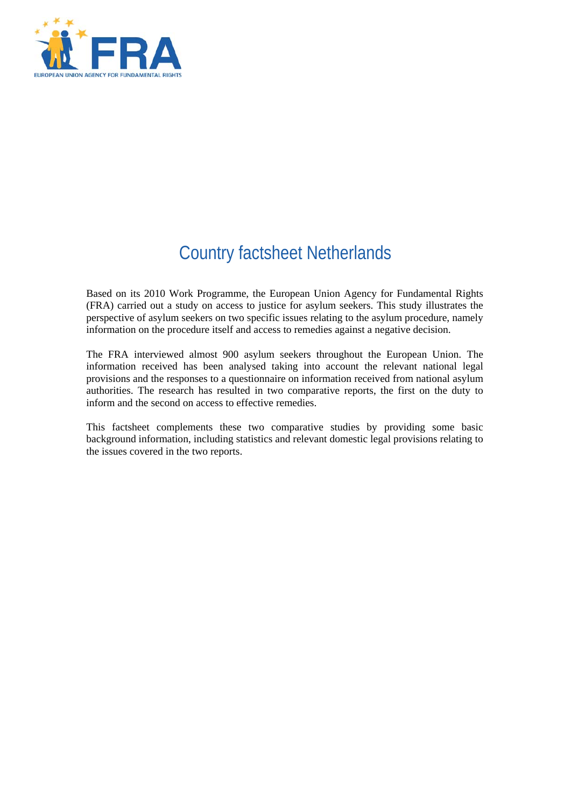

# Country factsheet Netherlands

Based on its 2010 Work Programme, the European Union Agency for Fundamental Rights (FRA) carried out a study on access to justice for asylum seekers. This study illustrates the perspective of asylum seekers on two specific issues relating to the asylum procedure, namely information on the procedure itself and access to remedies against a negative decision.

The FRA interviewed almost 900 asylum seekers throughout the European Union. The information received has been analysed taking into account the relevant national legal provisions and the responses to a questionnaire on information received from national asylum authorities. The research has resulted in two comparative reports, the first on the duty to inform and the second on access to effective remedies.

This factsheet complements these two comparative studies by providing some basic background information, including statistics and relevant domestic legal provisions relating to the issues covered in the two reports.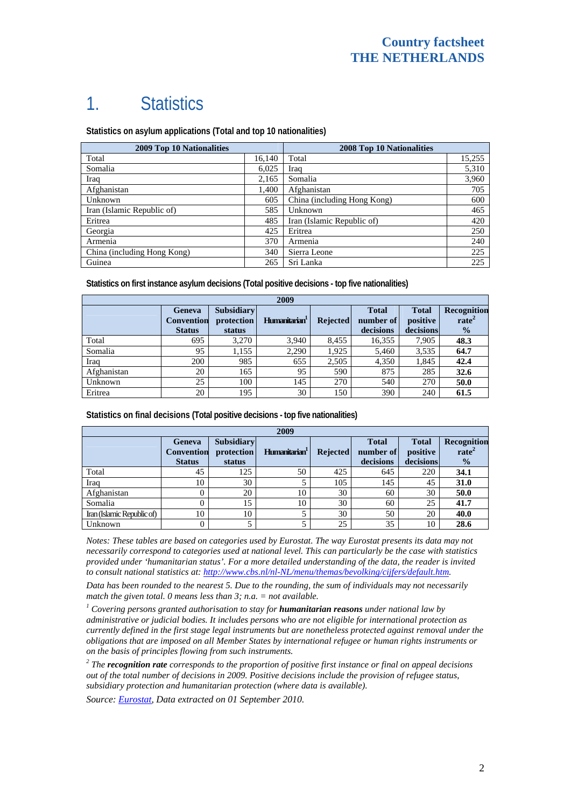# 1. Statistics

**Statistics on asylum applications (Total and top 10 nationalities)**

| 2009 Top 10 Nationalities   |        | 2008 Top 10 Nationalities   |        |  |
|-----------------------------|--------|-----------------------------|--------|--|
| Total                       | 16,140 | Total                       | 15,255 |  |
| Somalia                     | 6,025  | Iraq                        | 5,310  |  |
| Iraq                        | 2,165  | Somalia                     | 3,960  |  |
| Afghanistan                 | 1,400  | Afghanistan                 | 705    |  |
| Unknown                     | 605    | China (including Hong Kong) | 600    |  |
| Iran (Islamic Republic of)  | 585    | Unknown                     | 465    |  |
| Eritrea                     | 485    | Iran (Islamic Republic of)  | 420    |  |
| Georgia                     | 425    | Eritrea                     | 250    |  |
| Armenia                     | 370    | Armenia                     | 240    |  |
| China (including Hong Kong) | 340    | Sierra Leone                | 225    |  |
| Guinea                      | 265    | Sri Lanka                   | 225    |  |

**Statistics on first instance asylum decisions (Total positive decisions - top five nationalities)** 

| 2009        |                                              |                                           |                           |                 |                                        |                                       |                                                   |
|-------------|----------------------------------------------|-------------------------------------------|---------------------------|-----------------|----------------------------------------|---------------------------------------|---------------------------------------------------|
|             | Geneva<br><b>Convention</b><br><b>Status</b> | <b>Subsidiary</b><br>protection<br>status | Humanitarian <sup>1</sup> | <b>Rejected</b> | <b>Total</b><br>number of<br>decisions | <b>Total</b><br>positive<br>decisions | Recognition<br>rate <sup>2</sup><br>$\frac{1}{2}$ |
| Total       | 695                                          | 3.270                                     | 3,940                     | 8.455           | 16,355                                 | 7,905                                 | 48.3                                              |
| Somalia     | 95                                           | 1,155                                     | 2,290                     | 1,925           | 5,460                                  | 3,535                                 | 64.7                                              |
| Iraq        | 200                                          | 985                                       | 655                       | 2,505           | 4,350                                  | 1,845                                 | 42.4                                              |
| Afghanistan | 20                                           | 165                                       | 95                        | 590             | 875                                    | 285                                   | 32.6                                              |
| Unknown     | 25                                           | 100                                       | 145                       | 270             | 540                                    | 270                                   | 50.0                                              |
| Eritrea     | 20                                           | 195                                       | 30                        | 150             | 390                                    | 240                                   | 61.5                                              |

**Statistics on final decisions (Total positive decisions - top five nationalities)** 

| 2009                       |                                    |                                 |                           |                 |                           |                          |                                         |
|----------------------------|------------------------------------|---------------------------------|---------------------------|-----------------|---------------------------|--------------------------|-----------------------------------------|
|                            | <b>Geneva</b><br><b>Convention</b> | <b>Subsidiary</b><br>protection | Humanitarian <sup>1</sup> | <b>Rejected</b> | <b>Total</b><br>number of | <b>Total</b><br>positive | <b>Recognition</b><br>rate <sup>2</sup> |
|                            | <b>Status</b>                      | status                          |                           |                 | decisions                 | decisions                | $\frac{0}{0}$                           |
| Total                      | 45                                 | 125                             | 50                        | 425             | 645                       | 220                      | 34.1                                    |
| Iraq                       | 10                                 | 30                              |                           | 105             | 145                       | 45                       | 31.0                                    |
| Afghanistan                |                                    | 20                              | 10                        | 30              | 60                        | 30                       | 50.0                                    |
| Somalia                    |                                    | 15                              | 10                        | 30              | 60                        | 25                       | 41.7                                    |
| Iran (Islamic Republic of) | 10                                 | 10                              |                           | 30              | 50                        | 20                       | 40.0                                    |
| Unknown                    |                                    |                                 |                           | 25              | 35                        | 10                       | 28.6                                    |

*Notes: These tables are based on categories used by Eurostat. The way Eurostat presents its data may not necessarily correspond to categories used at national level. This can particularly be the case with statistics provided under 'humanitarian status'. For a more detailed understanding of the data, the reader is invited to consult national statistics at:<http://www.cbs.nl/nl-NL/menu/themas/bevolking/cijfers/default.htm>.* 

*Data has been rounded to the nearest 5. Due to the rounding, the sum of individuals may not necessarily match the given total. 0 means less than 3; n.a. = not available.* 

<sup>1</sup> Covering persons granted authorisation to stay for **humanitarian reasons** under national law by *administrative or judicial bodies. It includes persons who are not eligible for international protection as currently defined in the first stage legal instruments but are nonetheless protected against removal under the obligations that are imposed on all Member States by international refugee or human rights instruments or on the basis of principles flowing from such instruments.* 

*2 The recognition rate corresponds to the proportion of positive first instance or final on appeal decisions out of the total number of decisions in 2009. Positive decisions include the provision of refugee status, subsidiary protection and humanitarian protection (where data is available).* 

*Source: [Eurostat](http://epp.eurostat.ec.europa.eu/), Data extracted on 01 September 2010.*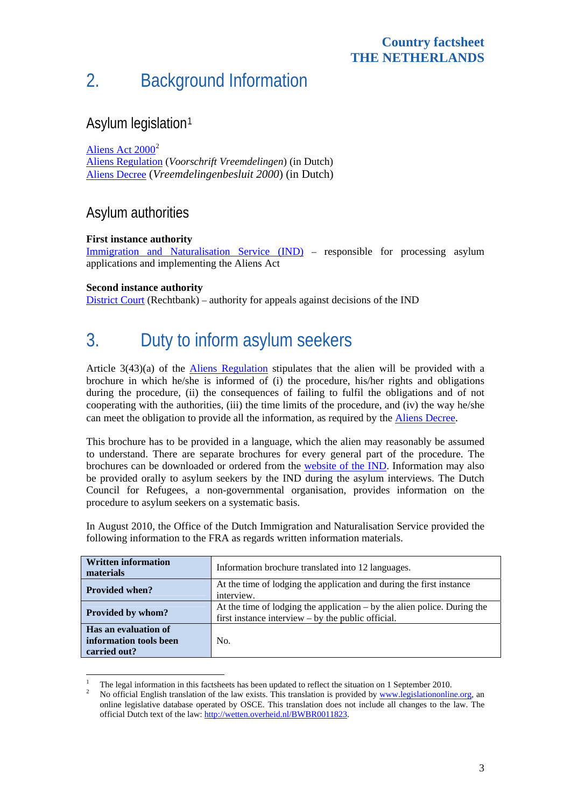# 2. Background Information

## Asylum legislation[1](#page-2-0)

[Aliens Act 2000](http://www.legislationline.org/documents/action/popup/id/4680)<sup>[2](#page-2-1)</sup>

[Aliens Regulation](http://wetten.overheid.nl/BWBR0012002) (*Voorschrift Vreemdelingen*) (in Dutch) [Aliens Decree](http://wetten.overheid.nl/BWBR0011825) (*Vreemdelingenbesluit 2000*) (in Dutch)

## Asylum authorities

#### **First instance authority**

[Immigration and Naturalisation Service \(IND\)](http://www.ind.nl/) – responsible for processing asylum applications and implementing the Aliens Act

#### **Second instance authority**

1

[District Court](http://www.rechtspraak.nl/information+in+english) (Rechtbank) – authority for appeals against decisions of the IND

# 3. Duty to inform asylum seekers

Article 3(43)(a) of the [Aliens Regulation](http://wetten.overheid.nl/BWBR0012002) stipulates that the alien will be provided with a brochure in which he/she is informed of (i) the procedure, his/her rights and obligations during the procedure, (ii) the consequences of failing to fulfil the obligations and of not cooperating with the authorities, (iii) the time limits of the procedure, and (iv) the way he/she can meet the obligation to provide all the information, as required by the [Aliens Decree.](http://wetten.overheid.nl/BWBR0011825)

This brochure has to be provided in a language, which the alien may reasonably be assumed to understand. There are separate brochures for every general part of the procedure. The brochures can be downloaded or ordered from the [website of the IND](https://www.ind.nl/EN/algemeen/brochures/downloaden/index.asp?lang=en&subhome=&title=&origin=). Information may also be provided orally to asylum seekers by the IND during the asylum interviews. The Dutch Council for Refugees, a non-governmental organisation, provides information on the procedure to asylum seekers on a systematic basis.

In August 2010, the Office of the Dutch Immigration and Naturalisation Service provided the following information to the FRA as regards written information materials.

| <b>Written information</b><br>materials                        | Information brochure translated into 12 languages.                                                                                 |  |  |  |
|----------------------------------------------------------------|------------------------------------------------------------------------------------------------------------------------------------|--|--|--|
| <b>Provided when?</b>                                          | At the time of lodging the application and during the first instance<br>interview.                                                 |  |  |  |
| Provided by whom?                                              | At the time of lodging the application $-$ by the alien police. During the<br>first instance interview $-$ by the public official. |  |  |  |
| Has an evaluation of<br>information tools been<br>carried out? | No.                                                                                                                                |  |  |  |

<span id="page-2-1"></span><span id="page-2-0"></span><sup>1</sup> The legal information in this factsheets has been updated to reflect the situation on 1 September 2010.

No official English translation of the law exists. This translation is provided by [www.legislationonline.org,](http://www.legislationonline.org/) an online legislative database operated by OSCE. This translation does not include all changes to the law. The official Dutch text of the law:<http://wetten.overheid.nl/BWBR0011823>.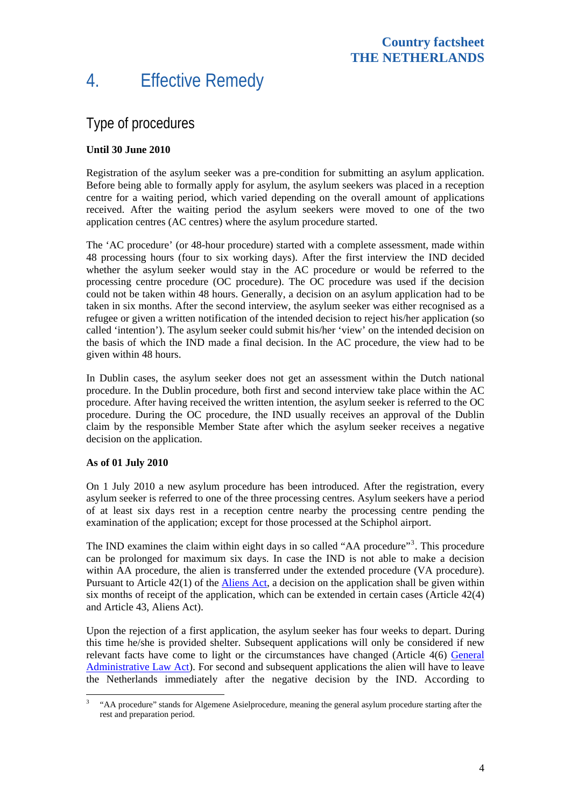## 4. Effective Remedy

## Type of procedures

#### **Until 30 June 2010**

Registration of the asylum seeker was a pre-condition for submitting an asylum application. Before being able to formally apply for asylum, the asylum seekers was placed in a reception centre for a waiting period, which varied depending on the overall amount of applications received. After the waiting period the asylum seekers were moved to one of the two application centres (AC centres) where the asylum procedure started.

The 'AC procedure' (or 48-hour procedure) started with a complete assessment, made within 48 processing hours (four to six working days). After the first interview the IND decided whether the asylum seeker would stay in the AC procedure or would be referred to the processing centre procedure (OC procedure). The OC procedure was used if the decision could not be taken within 48 hours. Generally, a decision on an asylum application had to be taken in six months. After the second interview, the asylum seeker was either recognised as a refugee or given a written notification of the intended decision to reject his/her application (so called 'intention'). The asylum seeker could submit his/her 'view' on the intended decision on the basis of which the IND made a final decision. In the AC procedure, the view had to be given within 48 hours.

In Dublin cases, the asylum seeker does not get an assessment within the Dutch national procedure. In the Dublin procedure, both first and second interview take place within the AC procedure. After having received the written intention, the asylum seeker is referred to the OC procedure. During the OC procedure, the IND usually receives an approval of the Dublin claim by the responsible Member State after which the asylum seeker receives a negative decision on the application.

#### **As of 01 July 2010**

On 1 July 2010 a new asylum procedure has been introduced. After the registration, every asylum seeker is referred to one of the three processing centres. Asylum seekers have a period of at least six days rest in a reception centre nearby the processing centre pending the examination of the application; except for those processed at the Schiphol airport.

The IND examines the claim within eight days in so called "AA procedure"<sup>[3](#page-3-0)</sup>. This procedure can be prolonged for maximum six days. In case the IND is not able to make a decision within AA procedure, the alien is transferred under the extended procedure (VA procedure). Pursuant to Article 42(1) of the [Aliens Act](http://www.legislationline.org/documents/action/popup/id/4680), a decision on the application shall be given within six months of receipt of the application, which can be extended in certain cases (Article 42(4) and Article 43, Aliens Act).

Upon the rejection of a first application, the asylum seeker has four weeks to depart. During this time he/she is provided shelter. Subsequent applications will only be considered if new relevant facts have come to light or the circumstances have changed (Article 4(6) [General](http://www.justitie.nl/onderwerpen/wetgeving/awb/Wettekst_awb/index.aspx#paragraph1)  [Administrative Law Act](http://www.justitie.nl/onderwerpen/wetgeving/awb/Wettekst_awb/index.aspx#paragraph1)). For second and subsequent applications the alien will have to leave the Netherlands immediately after the negative decision by the IND. According to

<span id="page-3-0"></span><sup>&</sup>lt;sup>3</sup> "AA procedure" stands for Algemene Asielprocedure, meaning the general asylum procedure starting after the rest and preparation period.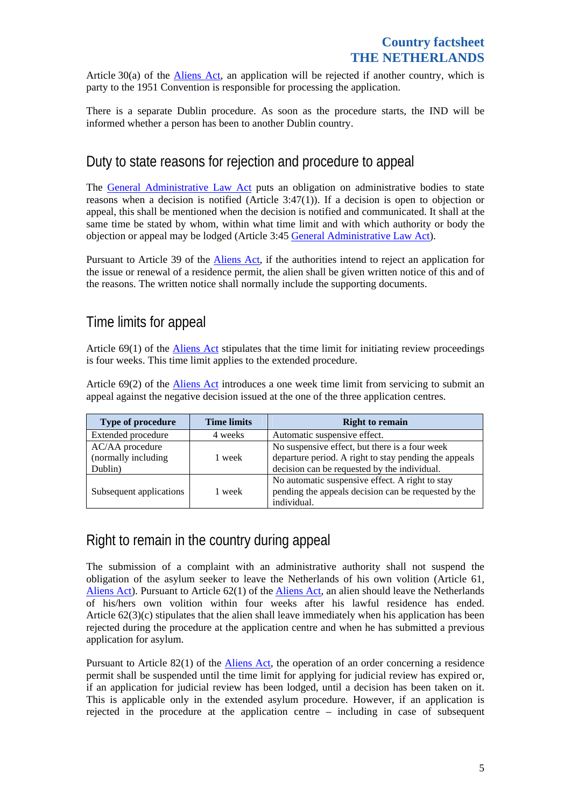Article 30(a) of the [Aliens Act,](http://www.legislationline.org/documents/action/popup/id/4680) an application will be rejected if another country, which is party to the 1951 Convention is responsible for processing the application.

There is a separate Dublin procedure. As soon as the procedure starts, the IND will be informed whether a person has been to another Dublin country.

## Duty to state reasons for rejection and procedure to appeal

The [General Administrative Law Act](http://www.justitie.nl/onderwerpen/wetgeving/awb/Wettekst_awb/index.aspx#paragraph1) puts an obligation on administrative bodies to state reasons when a decision is notified (Article 3:47(1)). If a decision is open to objection or appeal, this shall be mentioned when the decision is notified and communicated. It shall at the same time be stated by whom, within what time limit and with which authority or body the objection or appeal may be lodged (Article 3:45 [General Administrative Law Act](http://www.justitie.nl/onderwerpen/wetgeving/awb/Wettekst_awb/index.aspx#paragraph1)).

Pursuant to Article 39 of the **Aliens Act**, if the authorities intend to reject an application for the issue or renewal of a residence permit, the alien shall be given written notice of this and of the reasons. The written notice shall normally include the supporting documents.

## Time limits for appeal

Article 69(1) of the [Aliens Act](http://www.legislationline.org/documents/action/popup/id/4680) stipulates that the time limit for initiating review proceedings is four weeks. This time limit applies to the extended procedure.

Article 69(2) of the [Aliens Act](http://www.legislationline.org/documents/action/popup/id/4680) introduces a one week time limit from servicing to submit an appeal against the negative decision issued at the one of the three application centres.

| Type of procedure                                 | <b>Time limits</b> | <b>Right to remain</b>                                                                                                                                  |
|---------------------------------------------------|--------------------|---------------------------------------------------------------------------------------------------------------------------------------------------------|
| Extended procedure                                | 4 weeks            | Automatic suspensive effect.                                                                                                                            |
| AC/AA procedure<br>(normally including<br>Dublin) | 1 week             | No suspensive effect, but there is a four week<br>departure period. A right to stay pending the appeals<br>decision can be requested by the individual. |
| Subsequent applications                           | 1 week             | No automatic suspensive effect. A right to stay<br>pending the appeals decision can be requested by the<br>individual.                                  |

## Right to remain in the country during appeal

The submission of a complaint with an administrative authority shall not suspend the obligation of the asylum seeker to leave the Netherlands of his own volition (Article 61, [Aliens Act](http://www.legislationline.org/documents/action/popup/id/4680)). Pursuant to Article 62(1) of the [Aliens Act,](http://www.legislationline.org/documents/action/popup/id/4680) an alien should leave the Netherlands of his/hers own volition within four weeks after his lawful residence has ended. Article 62(3)(c) stipulates that the alien shall leave immediately when his application has been rejected during the procedure at the application centre and when he has submitted a previous application for asylum.

Pursuant to Article 82(1) of the [Aliens Act](http://www.legislationline.org/documents/action/popup/id/4680), the operation of an order concerning a residence permit shall be suspended until the time limit for applying for judicial review has expired or, if an application for judicial review has been lodged, until a decision has been taken on it. This is applicable only in the extended asylum procedure. However, if an application is rejected in the procedure at the application centre – including in case of subsequent